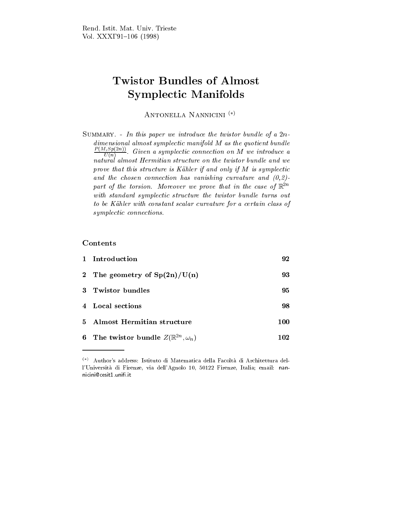# **Twistor Bundles of Almost** Symplectic Manifolds

ANTONELLA NANNICINI<sup>(\*)</sup>

SUMMARY. - In this paper we introduce the twistor bundle of a  $2n$ dimensional almost symplectic manifold M as the quotient bund le  $\frac{P(X,Y)=P(X,Y)}{U(n)}$ . Given a symplectic connection on M we introduce a natural almost Hermitian structure on the twistor bundle and we  $p_{\rm F}$  or that this structure is Kahler if and only if  $M$  is symplectic formulation  $\sim$ and the chosen connection and (0,2)-connection curvature and (0,2)-connection and (0,2)-connection and (0,2)-c  $\emph{part}$  of the torsion. Moreover we prove that in the case of  $\emph{\%}$ with standard symplectic structure the twistor bund le turns out to be Kahler with constant scalar curvature for a certain class of symplectic connections and connections.

### Contents

| 1 Introduction                                     | 92  |
|----------------------------------------------------|-----|
| 2 The geometry of $Sp(2n)/U(n)$                    | 93  |
| 3 Twistor bundles                                  | 95  |
| 4 Local sections                                   | 98  |
| 5 Almost Hermitian structure                       | 100 |
| 6 The twistor bundle $Z(\mathbb{R}^{2n},\omega_n)$ | 102 |

 $\overset{(*)}$  Author's address: Istituto di Matematica della Facoltà di Architettura dell'Universita di Firenze, via dell'Agnolo 10, 50122 Firenze, Italia; email: nan nicini@cesit1 unifi it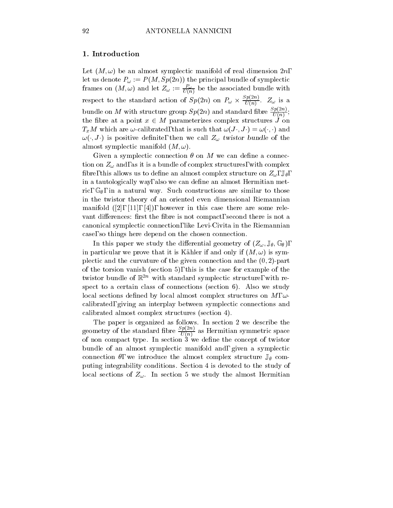## 1. Introduction

Let  $(M, \omega)$  be an almost symplectic manifold of real dimension  $2n$ , let us denote  $P_{\omega} := P(M, Sp(2n))$  the principal bundle of symplectic frames on  $(M, \omega)$  and let  $Z_{\omega} := \frac{1}{U(n)}$  be the associated bundle with respect to the standard action of  $Sp(2n)$  on  $P_\omega \times \frac{P(X,Y)}{U(n)}$ .  $Z_\omega$  is a bundle on M with structure group  $Sp(2n)$  and standard fibre  $\frac{P(2n)}{U(n)}$ ; **In the contract of the contract of the contract of the contract of the contract of the contract of the contract of the contract of the contract of the contract of the contract of the contract of the contract of the contra** the fibre at a point  $x \in M$  parameterizes complex structures  $\hat{J}$  on  $T_xM$  which are  $\omega$ -calibrated, that is such that  $\omega(J \cdot, J \cdot) = \omega(\cdot, \cdot)$  and  $\omega(\cdot, J)$  is positive definite, then we call  $Z_{\omega}$  twistor bundle of the almost symplectic manifold  $(M, \omega)$ .

Given a symplectic connection  $\theta$  on M we can define a connection on  $Z_{\omega}$  and, as it is a bundle of complex structures, with complex fibre, this allows us to define an almost complex structure on  $Z_{\omega}$ ,  $\mathbb{J}_{\theta}$ , in a tautologically way, also we can define an almost Hermitian metric, G , in a natural way. Such constructions are similar to those to those is in the twistor theory of an oriented even dimensional Riemannian manifold  $([2], [11], [4])$ , however in this case there are some relevant differences: first the fibre is not compact, second there is not a canonical symplectic connection, like Levi-Civita in the Riemannian case, so things here depend on the chosen connection.

In this paper we study the differential geometry of  $(Z_{\omega}, \mathbb{J}_{\theta}, \mathbb{G}_{\theta})$ , in particular we prove that it is Kähler if and only if  $(M, \omega)$  is symplectic and the curvature of the given connection and the  $(0, 2)$ -part of the torsion vanish (section 5), this is the case for example of the twistor bundle of  $\mathbb{R}^{2n}$  with standard symplectic structure, with respect to a certain class of connections (section 6). Also we study local sections defined by local almost complex structures on  $M, \omega$ calibrated, giving an interplay between symplectic connections and calibrated almost complex structures (section 4).

The paper is organized as follows. In section 2 we describe the geometry of the standard fibre  $\frac{2K(2n)}{U(n)}$  as Hermitian symmetric space of non compact type. In section 3 we dene the concept of twistor bundle of an almost symplectic manifold and, given a symplectic connection  $\theta$ , we introduce the almost complex structure  $\mathbb{J}_{\theta}$  computing integrability conditions. Section 4 is devoted to the study of local sections of  $Z_{\omega}$ . In section 5 we study the almost Hermitian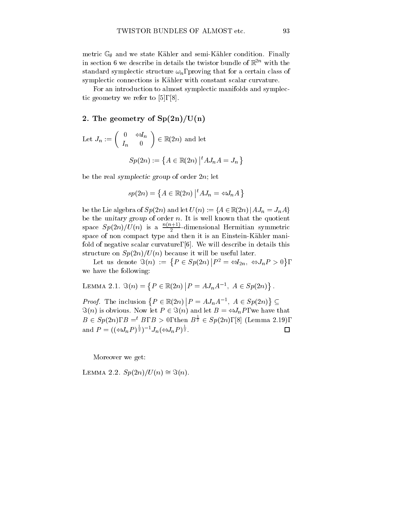$-v$  state Kahler and semi-Kahler and semi-Kahler condition. Finally,  $v'$ in section 6 we describe in details the twistor bundle of  $\mathbb{R}^{2n}$  with the standard symplectic structure  $\omega_n$ , proving that for a certain class of symplectic connections is Kahler with constant scalar curvature.

For an introduction to almost symplectic manifolds and symplectic geometry we refer to [5], [8].

## 2. The geometry of  $Sp(2n)/U(n)$

Let 
$$
J_n := \begin{pmatrix} 0 & \Leftrightarrow I_n \\ I_n & 0 \end{pmatrix} \in \mathbb{R}(2n)
$$
 and let  

$$
Sp(2n) := \{ A \in \mathbb{R}(2n) | {}^t A J_n A = J_n \}
$$

be the real symplectic group of order  $2n$ ; let

$$
sp(2n) = \left\{ A \in \mathbb{R}(2n) \, \middle| \, {}^t A J_n = \Leftrightarrow J_n A \, \right\}
$$

be the Lie algebra of  $Sp(2n)$  and let  $U(n) := \{A \in \mathbb{R}(2n) | A J_n = J_n A\}$ be the unitary group of order  $n$ . It is well known that the quotient space  $Sp(2n)/U(n)$  is a  $\longrightarrow$  -dim  $2$  -dimensional Hermitian symmetric symmetric space of non compact type and then it is an Einstein-Kähler manifold of negative scalar curvature, [6]. We will describe in details this structure on  $U$  and  $U$  it will be useful later. It will be useful later. It will be useful later. It will be useful later. It will be useful later. It will be useful later. It will be useful later. It will be useful lat

Let us denote  $\Im(n) := \{ P \in Sp(2n) | P^2 = \Leftrightarrow I_{2n}, \Leftrightarrow J_n P > 0 \},\$ we have the following:

LEMMA 2.1. 
$$
\Im(n) = \{ P \in \mathbb{R}(2n) | P = AJ_nA^{-1}, A \in Sp(2n) \}.
$$

*Proof.* The inclusion  $\{P \in \mathbb{R}(2n) | P = AJ_nA^{-1}, A \in Sp(2n)\}\subseteq$  $\Im(n)$  is obvious. Now let  $P \in \Im(n)$  and let  $B = \Leftrightarrow J_nP$ , we have that  $B \in Sp(2n), B =^t B, B > 0$ , then  $B^{\frac{1}{2}} \in Sp(2n), [8]$  (Lemma 2.19),  $\Box$ and  $P = ((\Leftrightarrow J_n P)^{\frac{1}{2}})^{-1} J_n(\Leftrightarrow J_n P)^{\frac{1}{2}}$ .

Moreover we get:

LEMMA 2.2.  $Sp(2n)/U(n) \cong \Im(n)$ .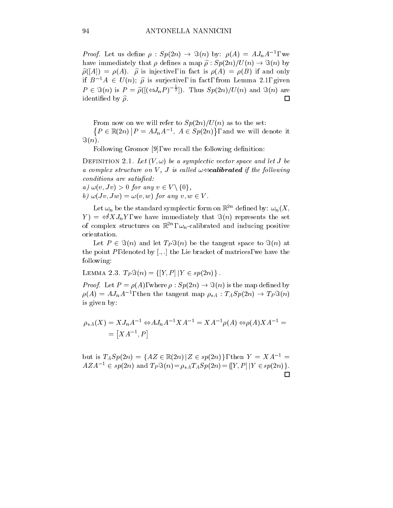*Proof.* Let us define  $\rho : sp(2n) \rightarrow s(n)$  by:  $\rho(A) = A J_n A^{-1}$ , we have immediately that  $\rho$  defines a map  $\hat{\rho}$ :  $Sp(2n)/U(n) \rightarrow \Im(n)$  by  $\hat{\rho}([A]) = \rho(A)$ .  $\hat{\rho}$  is injective, in fact is  $\rho(A) = \rho(B)$  if and only if  $B^{-1}A \in U(n)$ ;  $\hat{\rho}$  is surjective, in fact, from Lemma 2.1, given  $P \in \Im(n)$  is  $P = \widehat{\rho}((\Longleftrightarrow_n P)^{-\frac{1}{2}})$ . Thus  $Sp(2n)/U(n)$  and  $\Im(n)$  are identified by  $\hat{\rho}$ .  $\Box$ 

From the set of  $\alpha$  and the set of  $\beta$  ,  $\beta$  and  $\beta$  as to the set of  $\alpha$ 

 $\{P \in \mathbb{R}(2n) \, | \, P = AJ_nA^{-1}, \ A \in Sp(2n)\}, \$  and we will denote it  $\Im(n)$ .

Following Gromov  $[9]$ , we recall the following definition:

DEFINITION 2.1. Let  $(V, \omega)$  be a symplectic vector space and let J be  $a$  complex structure on  $V$ , J is called  $\omega \rightarrow c$  allocated if the following conditions are satisfactly and conditions of the satisfacture of the satisfacture of the satisfacture of the s

a) and the state of the state of the state of the state of the state of the state of the state of the state of  $\alpha$  ) and  $\alpha$  and  $\alpha$  is a subsequently for any view  $\alpha$  . The contract of  $\alpha$  is a vector  $\alpha$ 

Let  $\omega_n$  be the standard symplectic form on  $\mathbb{R}^{2n}$  defined by:  $\omega_n(X;$  $Y$  =  $\iff XJ_nY$ , we have immediately that  $\Im(n)$  represents the set of complex structures on  $\mathbb{R}^2$ ,  $\omega_n$ -calibrated and inducing positive orientation.

Let  $P \in \Im(n)$  and let  $T_P \Im(n)$  be the tangent space to  $\Im(n)$  at the point P, denoted by  $[.,.]$  the Lie bracket of matrices, we have the following:

LEMMA 2.3. 
$$
T_P \Im(n) = \{ [Y, P] | Y \in sp(2n) \}.
$$

 $P$  . Let  $P$  is the contract proof. Let  $P$  is the map defined by the map defined by  $P$  is the map defined by  $P$  $p(A) = A J_n A$ , then the tangent map  $\rho_{*A} : I_A s p(A) \rightarrow I_P s(n)$ is given by:

$$
\rho_{*A}(X) = X J_n A^{-1} \Leftrightarrow A J_n A^{-1} X A^{-1} = X A^{-1} \rho(A) \Leftrightarrow \rho(A) X A^{-1} =
$$
  
= 
$$
[X A^{-1}, P]
$$

but is  $T_A Sp(2n) = \{ AZ \in \mathbb{R}(2n) | Z \in sp(2n) \},\$  then  $Y = XA^{-1} =$  $AZA^{-1} \in sp(2n)$  and  $T_P \Im(n) = \rho_* AT_ASp(2n) = \{[Y, P] | Y \in sp(2n) \}.$  $\Box$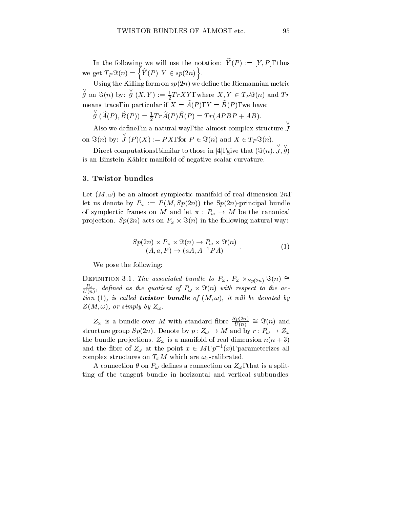In the following we will use the notation:  $\hat{Y}(P) := [Y, P]$ , thus we get  $T_P \Im(n) = \{ \widehat{Y}(P) | Y \in sp(2n) \}.$ 

Using the Killing form on  $sp(2n)$  we define the Riemannian metric  $g$  on  $\Im(n)$  by:  $g$  (  $g(X,Y) := \frac{1}{2} TrXY$ , where  $X, Y \in T_P \Im(n)$  and  $Tr$ means trace, in particular if  $X = \widehat{A}(P)$ ,  $Y = \widehat{B}(P)$ , we have:

$$
g(A(P),B(P)) = \frac{1}{2}Tr A(P)B(P) = Tr(APBP + AB).
$$

Also we dene, in a natural way, the almost complex structure on =(n) by: \_ <sup>J</sup> (P )(X) := P X, for <sup>P</sup> 2 =(n) and <sup>X</sup> <sup>2</sup> TP =(n).

Direct computations, similar to those in [4], give that  $(\Im(n), J, g)$ is an Einstein-Kahler manifold of negative scalar curvature.

#### 3. Twistor bundles

Let  $(M, \omega)$  be an almost symplectic manifold of real dimension  $2n$ , let us denote by  $P_{\omega} := P(M, Sp(2n))$  the  $Sp(2n)$ -principal bundle of symplectic frames on M and let  $\pi : P_{\omega} \to M$  be the canonical produce the following  $\alpha$  in the following natural way: In the following  $\alpha$  in the following  $\alpha$ 

$$
Sp(2n) \times P_{\omega} \times \Im(n) \to P_{\omega} \times \Im(n)
$$
  
(A, a, P) \to (aA, A<sup>-1</sup>PA) (1)

We pose the following:

DEFINITION 3.1. The associated bundle to  $I\omega$ ,  $I\omega \wedge Sp(2n) \rightarrow (n) =$  $\overline{U(n)}$ , defined as the quotient of  $P_{\omega}\times {\Im}(n)$  with respect to the ac $t$ , is called **twistor bundite** by  $\{M, W\}$ , it will be denoted by  $Z(M, \omega)$ , or simply by  $Z_{\omega}$ .

 $Z_{\omega}$  is a bundle over M with standard fibre  $\frac{T(n)}{U(n)} \cong \Im(n)$  and structure group  $Sp(2n)$ . Denote by  $p: Z_{\omega} \to M$  and by  $r: P_{\omega} \to Z_{\omega}$ the bundle projections.  $Z_{\omega}$  is a manifold of real dimension  $n(n+3)$ and the nore of  $Z_{\omega}$  at the point  $x \in M, p^{-1}(x),$  parameterizes all complex structures on  $T_xM$  which are  $\omega_x$ -calibrated.

A connection  $\theta$  on  $P_{\omega}$  defines a connection on  $Z_{\omega}$ , that is a splitting of the tangent bundle in horizontal and vertical subbundles: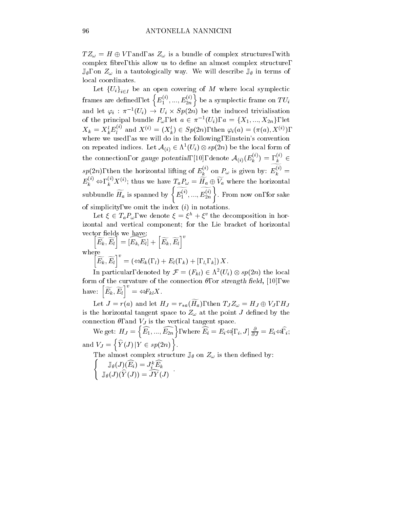$TZ_{\omega} = H \oplus V$ , and, as  $Z_{\omega}$  is a bundle of complex structures, with complex fibre, this allow us to define an almost complex structure,  $\mathbb{J}_{\theta}$ , on  $Z_{\omega}$  in a tautologically way. We will describe  $\mathbb{J}_{\theta}$  in terms of local coordinates.

 $L = U \cup U \cup U$ i began covering of M where local symplectic symplectic symplectic symplectic symplectic symplectic symplectic symplectic symplectic symplectic symplectic symplectic symplectic symplectic symplectic symplectic frames are defined, let  $\left\{E_1^{(i)},...,E_{2n}^{(i)}\right\}$  be a symplectic frame on  $TU_i$ and let  $\varphi_i$  :  $\pi^{-1}(U_i) \to U_i \times sp(2n)$  be the induced trivialisation of the principal bundle  $F_{\omega}$ , let  $a \in \pi^{-1}(U_i)$ ,  $a = \{A_1, ..., A_{2n}\}\$ , let  $X_k = X_k^* E_l^{\gamma}$  and  $X^{(i)} = (X_k^*) \in Sp(2n)$ , then  $\varphi_i(a) = (\pi(a), X^{(i)})$ , where we used, as we will do in the following, Einstein's convention on repeated indices. Let  $\mathcal{A}_{(i)} \in \Lambda \, \langle U_i \rangle \otimes sp(2n)$  be the local form of the connection, or gauge potential, [10], denote  $\mathcal{A}_{(i)}(E_k^{(i)}) =$  ,  $k \in \mathbb{R}$  $sp(2n)$ , then the horizontal lifting of  $E_k^{\gamma}$  on  $P_\omega$  is given by:  $E_k^{\gamma}$  =  $\boldsymbol{\tau}$  $(i)$  $k$  and  $k$  and  $k$  and  $k$  and  $k$  and  $k$  and  $k$  and  $k$  and  $k$  and  $k$  and  $k$  and  $k$  and  $k$  and  $k$  and  $k$  and  $k$  and  $k$  and  $k$  and  $k$  and  $k$  and  $k$  and  $k$  and  $k$  and  $k$  and  $k$  and  $k$  and  $k$  and  $k$  a  $E_k^{(i)} \Leftrightarrow$ ,  $k^{'}X^{(i)}$ ; thus we have  $T_aP_\omega = H_a \oplus V_a$  where the horizontal subbundle  $\widetilde{H}_a$  is spanned by  $\Big\{\widetilde{E_1^{(i)}},...,\widetilde{E_{2n}^{(i)}}\Big\}.$  $1 \quad \cdots \quad \quad \angle n \quad 1 \quad \cdots$  $n(i)$  |  $n$  $\left\{\begin{array}{c}\n\overbrace{\left(i\right)}}{\left(2n\right)}\right\}$ . From now on, for sake of simplicity, we omit the index  $(i)$  in notations.

Let  $\zeta \in I_a \Gamma_\omega$ , we denote  $\zeta = \zeta_+ + \zeta_-$  the decomposition in horizontal and vertical component; for the Lie bracket of horizontal vector fields we have:

vector netas we have:<br> $\left[\widetilde{E_k}, \widetilde{E_l}\right] = \left[E_k, E_l\right] + \left[\widetilde{E_k}, \widetilde{E_l}\right]^v$ where  $\left[\widetilde{E_k}, \widetilde{E_l}\right]^v = \left(\Leftrightarrow E_k(0, l) + \right)$  $\Gamma$  (Fig. ) +  $\Gamma$  = (Fig. ) +  $\Gamma$  ,  $\Gamma$  ,  $\Gamma$  ,  $\Gamma$  ,  $\Gamma$  ,  $\Gamma$  ,  $\Gamma$  ,  $\Gamma$  ,  $\Gamma$  ,  $\Gamma$  ,  $\Gamma$  ,  $\Gamma$  ,  $\Gamma$  ,  $\Gamma$  ,  $\Gamma$  ,  $\Gamma$  ,  $\Gamma$  ,  $\Gamma$  ,  $\Gamma$  ,  $\Gamma$  ,  $\Gamma$  ,  $\Gamma$  ,  $\Gamma$  ,  $\Gamma$  ,  $\Gamma$  ,  $\Gamma$  ,  $\Gamma$  ,

In particular, denoted by  $\mathcal{F} = (F_{kl}) \in \Lambda$   $(U_i) \otimes sp(2n)$  the local form of the curvature of the connection  $\theta$ , or strength field, [10], we have:  $\left[\widetilde{E_k}, \widetilde{E_l}\right]^v = \Leftrightarrow F_{kl} X.$  $\sim$  Fig.  $\sim$  Fig.  $\sim$  Fig.  $\sim$  Fig.  $\sim$  Fig.  $\sim$  Fig.  $\sim$  Fig.  $\sim$  Fig.  $\sim$  Fig.  $\sim$  Fig.  $\sim$  Fig.  $\sim$  Fig.  $\sim$  Fig.  $\sim$  Fig.  $\sim$  Fig.  $\sim$  Fig.  $\sim$  Fig.  $\sim$  Fig.  $\sim$  Fig.  $\sim$  Fig.  $\sim$  Fig.  $\sim$  Fig.

Let  $J = r(a)$  and let  $H_J = r_{*a}(\widetilde{H}_a)$ , then  $T_J Z_\omega = H_J \oplus V_J$ ,  $H_J$ is the horizontal tangent space to  $Z_{\omega}$  at the point J defined by the connection  $\theta$ , and  $V_J$  is the vertical tangent space.

We get:  $H_J = \left\{ \widehat{E_1}, ..., \widehat{E_{2n}} \right\}$ , where  $\widehat{E_i} = E_i \Leftrightarrow [i, i]$ ,  $J_j \frac{\partial}{\partial J} = E_i \Leftrightarrow \widehat{i}$ ; and  $\alpha$  is a variable  $\alpha$  and  $\alpha$  $\widehat{Y}(J) | Y \in sp(2n) \big\}.$ 

 $\sim$  300 on  $\sim$  300 on  $\mu$  on  $\sim$  300 or  $\sim$   $\sim$   $\mu$  on  $\sim$   $\sim$  300 or  $\sim$  300 or  $\mu$  .

$$
\mathbb{J}_{\theta}(J)(\widehat{E_i})=J_i^k\widehat{E_k}\\ \mathbb{J}_{\theta}(J)(\widehat{Y}(J))=\widehat{JY}(J)\enspace.
$$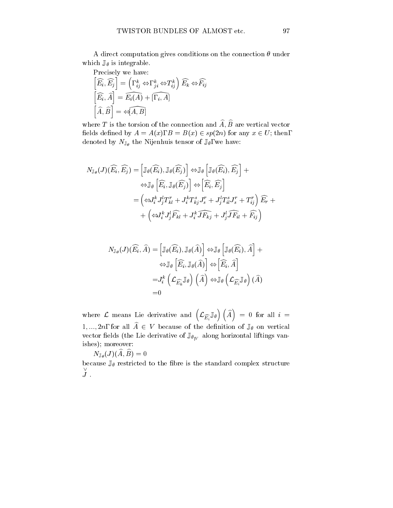A direct computation gives conditions on the connection  $\theta$  under which  $\mathbb{J}_{\theta}$  is integrable.

$$
\begin{aligned}\n\text{Precisely we have:} \\
\left[\widehat{E_i}, \widehat{E_j}\right] &= \left( , \, \, \stackrel{k}{_{ij}} \Leftrightarrow , \, \, \stackrel{k}{_{ji}} \Leftrightarrow T_{ij}^k \right) \widehat{E_k} \Leftrightarrow \widehat{F_{ij}} \\
\left[\widehat{E_i}, \widehat{A}\right] &= \widehat{E_i(A)} + \widehat{[, \, i, A]} \\
\left[\widehat{A}, \widehat{B}\right] &= \Leftrightarrow \widehat{A, B}\n\end{aligned}
$$

where T is the torsion of the connection and  $\widehat{A}$ ,  $\widehat{B}$  are vertical vector fields defined by  $A = A(x)$ ,  $B = B(x) \in sp(2n)$  for any  $x \in U$ ; then, denoted by  $N_{\mathbb{J}_{\theta}}$  the Nijenhuis tensor of  $\mathbb{J}_{\theta}$ , we have:

$$
N_{\mathbb{J}_{\theta}}(J)(\widehat{E}_{i}, \widehat{E}_{j}) = \left[\mathbb{J}_{\theta}(\widehat{E_{i}}), \mathbb{J}_{\theta}(\widehat{E_{j}})\right] \Leftrightarrow \mathbb{J}_{\theta}\left[\mathbb{J}_{\theta}(\widehat{E_{i}}), \widehat{E_{j}}\right] +
$$
  

$$
\Leftrightarrow \mathbb{J}_{\theta}\left[\widehat{E_{i}}, \mathbb{J}_{\theta}(\widehat{E_{j}})\right] \Leftrightarrow \left[\widehat{E_{i}}, \widehat{E_{j}}\right]
$$
  

$$
= \left(\Leftrightarrow I_{i}^{k} J_{j}^{l} T_{kl}^{r} + J_{i}^{k} T_{kj}^{s} J_{s}^{r} + J_{j}^{l} T_{il}^{s} J_{s}^{r} + T_{ij}^{r}\right) \widehat{E_{r}} +
$$
  

$$
+ \left(\Leftrightarrow I_{i}^{k} J_{j}^{l} \widehat{F_{kl}} + J_{i}^{k} \widehat{J F_{kj}} + J_{j}^{l} \widehat{J F_{il}} + \widehat{F_{ij}}\right)
$$

$$
N_{\mathbb{J}_{\theta}}(J)(\widehat{E_i}, \widehat{A}) = \left[\mathbb{J}_{\theta}(\widehat{E_i}), \mathbb{J}_{\theta}(\widehat{A})\right] \Leftrightarrow \mathbb{J}_{\theta}\left[\mathbb{J}_{\theta}(\widehat{E_i}), \widehat{A}\right] +
$$
  

$$
\Leftrightarrow \mathbb{J}_{\theta}\left[\widehat{E_i}, \mathbb{J}_{\theta}(\widehat{A})\right] \Leftrightarrow \left[\widehat{E_i}, \widehat{A}\right]
$$
  

$$
= J_i^k \left(\mathcal{L}_{\widehat{E_k}} \mathbb{J}_{\theta}\right) \left(\widehat{A}\right) \Leftrightarrow \mathbb{J}_{\theta}\left(\mathcal{L}_{\widehat{E_i}} \mathbb{J}_{\theta}\right) (\widehat{A})
$$
  
=0

=0<br>where  ${\cal L}$  means Lie derivative and  $\left({\cal L}_{\widehat{E_i}}\mathbb{J}_{\theta}\right)\left(\widehat{A}\right)\,=\,0$  for all  $i\,=\,$  $1, ..., 2n$ , for all  $\widehat{A} \in V$  because of the definition of  $\mathbb{J}_{\theta}$  on vertical vector fields (the Lie derivative of  $\mathbb{J}_{\theta_{|V}}$  along horizontal liftings vanishes); moreover:

 $N_{\mathbb{J}_{\theta}}(J)(\widehat{A},\widehat{B})=0$ 

J .

because  $\mathbb{J}_{\theta}$  restricted to the fibre is the standard complex structure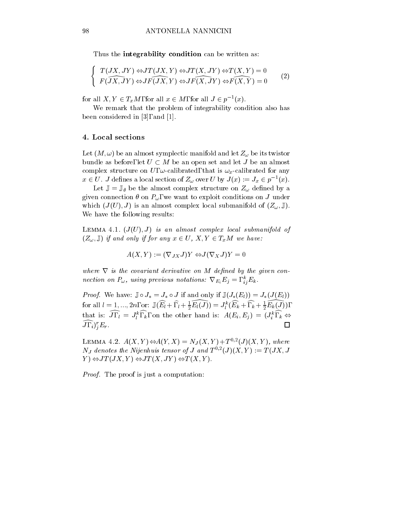Thus the **integrability condition** can be written as:

$$
\begin{cases}\nT(JX, JY) \Leftrightarrow JT(JX, Y) \Leftrightarrow JT(X, JY) \Leftrightarrow T(X, Y) = 0 \\
F(\overline{JX, JY}) \Leftrightarrow JF(\overline{JX, Y}) \Leftrightarrow JF(\overline{X, JY}) \Leftrightarrow F(\overline{X, Y}) = 0\n\end{cases}
$$
\n(2)

for all  $A, Y \in T_xM$ , for all  $x \in M$ , for all  $J \in p^{-1}(x)$ .

We remark that the problem of integrability condition also has been considered in [3], and [1].

#### 4. Local sections

Let  $(M, \omega)$  be an almost symplectic manifold and let  $Z_{\omega}$  be its twistor bundle as before, let  $U \subset M$  be an open set and let J be an almost complex structure on U,  $\omega$ -calibrated, that is  $\omega_x$ -calibrated for any  $x \in U$ . J defines a local section of  $Z_{\omega}$  over U by  $J(x) := J_x \in p^{-1}(x)$ .

Let  $\mathbb{J} = \mathbb{J}_{\theta}$  be the almost complex structure on  $Z_{\omega}$  defined by a given connection  $\theta$  on  $P_{\omega}$ , we want to exploit conditions on J under which  $(J(U), J)$  is an almost complex local submanifold of  $(Z_{\omega}, \mathbb{J}).$ We have the following results:

LEMMA 4.1.  $(J(U), J)$  is an almost complex local submanifold of  $(Z_{\omega}, \mathbb{J})$  if and only if for any  $x \in U$ ,  $X, Y \in T_xM$  we have:

$$
A(X,Y) := (\nabla_{JX} J)Y \Leftrightarrow J(\nabla_X J)Y = 0
$$

where  $\alpha$  is the covariant derivative on M decouple and given controlled by the given connection on  $\mathbf{r}_{\omega}$ , using previous notations:  $\mathbf{v}_{E_i} \mathbf{E}_j =$ ,  $_{ij} \mathbf{E}_k$ .

 $P\circ P\circ T$  if a finite  $P\circ \phi$  if  $P\circ T$  if and only if  $\phi$  (J( $\phi$ ))  $\phi$  (Fig. ))  $\phi$ for all  $l = 1, ..., 2n$ , or:  $\mathbb{J}(E_l + 1, l + \frac{1}{2}E_l(J)) = J_l^{\kappa}(E_k + 1, k + \frac{1}{2}E_k(J)),$ that is:  $J, l = J_l^{\kappa}, k$ , on the other hand is:  $A(E_i, E_j) = (J_i^{\kappa}, k \Leftrightarrow$  $\Box$  $J, i)^r_i E_r$ .

LEMMA 4.2.  $A(\Lambda, I) \Longleftrightarrow A(I, \Lambda) \equiv N_J(\Lambda, I) + I^{-,-}(J)(\Lambda, I)$ , where ivy denotes the infermals tensor of J and  $I \cap (J)(\Lambda, I) := I(\overline{J}\Lambda, J)$  $Y \cong J T(JX, Y) \Leftrightarrow J T(X, JY) \Leftrightarrow T(X, Y).$ 

Proof. The proof is just a computation: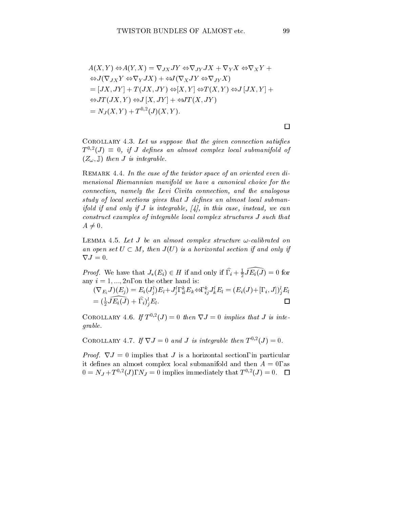$$
A(X, Y) \Leftrightarrow A(Y, X) = \nabla_{JX} JY \Leftrightarrow \nabla_{JY} JX + \nabla_{Y} X \Leftrightarrow \nabla_{X} Y +
$$
  
\n
$$
\Leftrightarrow J(\nabla_{JX} Y \Leftrightarrow \nabla_{Y} JX) + \Leftrightarrow J(\nabla_{X} JY \Leftrightarrow \nabla_{JY} X)
$$
  
\n
$$
= [JX, JY] + T(JX, JY) \Leftrightarrow [X, Y] \Leftrightarrow T(X, Y) \Leftrightarrow J[JX, Y] +
$$
  
\n
$$
\Leftrightarrow JT(JX, Y) \Leftrightarrow J[X, JY] + \Leftrightarrow JT(X, JY)
$$
  
\n
$$
= N_{J}(X, Y) + T^{0,2}(J)(X, Y).
$$

COROLLARY 4.3. Let us suppose that the given connection satisfies  $T \cap \{J\} = 0, \; i \in J$  defines an almost complex local submanifold of  $(Z_{\omega}, \mathbb{J})$  then *J* is integrable.

REMARK 4.4. In the case of the twistor space of an oriented even dimensional Riemannian manifold we have a canonical choice for the choice for the choice for the choice for the connection, namely the Levi Civitation, and the analogous connection, and the analogous connection, and the an study of local sections gives that J denes an almost local submanifold if and only if J is integrable, [4], in this case, instead, we can constructs cadinalized of integrations incurreduction structures J such that in  $A \neq 0$ .

LEMMA 4.5. Let  $J$  be an almost complex structure  $\omega$ -calibrated on an open set  $U \subseteq M$ , then  $J(U)$  is a horizontal section if and only if  $\nabla J = 0.$ 

*Proof.* We have that  $J_*(E_i) \in H$  if and only if  $, i + \frac{1}{2}JE_i(J) = 0$  for any  $i = 1, ..., 2n$ , on the other hand is:

$$
\begin{array}{l} (\nabla_{E_i}J)(E_j)=E_i(J_j^l)E_l+J_j^l,\, {}_{il}^kE_k\Leftrightarrow, \, {}_{ij}^kJ_k^lE_l=(E_i(J)+[, \,{}_i,J])_{j}^lE_l\\ =({\textstyle\frac{1}{2}}\widehat{JE_i(J)}+{\textstyle\frac{1}{2}}{\textstyle\int}^1_{kl}E_l. \end{array}
$$

COROLLARY 4.0. If  $I \cap (J) = 0$  then  $\forall J = 0$  implies that J is integrable.

COROLLARY 4.1. If  $\nabla J = 0$  and J is integrable then  $T \rightarrow \neg J = 0$ .

Proof. rJ = 0 implies that J is a horizontal section, in particular it defines an almost complex local submanifold and then  $A = 0$ , as  $0 = N_J + I^{-1}$ ; (*J*),  $N_J = 0$  implies immediately that  $T^{-1}(J) = 0$ .  $\Box$ 

 $\Box$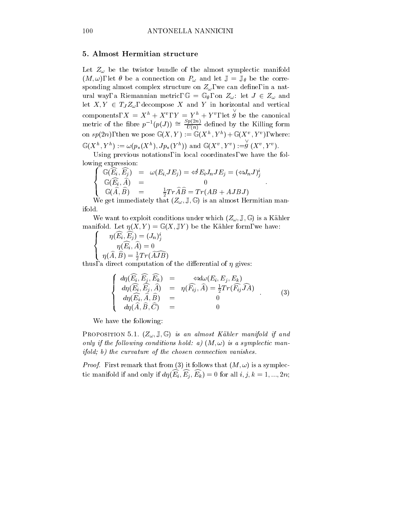#### 5. Almost Hermitian structure

Let  $Z_{\omega}$  be the twistor bundle of the almost symplectic manifold  $(M, \omega)$ , let  $\theta$  be a connection on  $P_{\omega}$  and let  $\mathbb{J} = \mathbb{J}_{\theta}$  be the corresponding almost complex structure on  $Z_{\omega}$ , we can define, in a natwas a result of  $\omega$  and  $\omega$  is a result metric metric  $\omega$  and  $\omega$  and  $\omega$   $\omega$  and  $\omega$  and  $\omega$  and  $\omega$  and  $\omega$  and  $\omega$  and  $\omega$  and  $\omega$  and  $\omega$  and  $\omega$  and  $\omega$  and  $\omega$  and  $\omega$  and  $\omega$  and  $\omega$  and  $\omega$  an let  $X, Y \in T_J Z_\omega$ , decompose X and Y in horizontal and vertical components,  $\Lambda = \Lambda^+ + \Lambda^-$ ,  $I = I^+ + I^-$ , let y be  $g$  be the canonical metric of the fibre  $p^{-1}(p(J)) \cong \frac{2\Gamma(S)}{U(n)}$  defined by the Killing form on  $sp(2n)$ , then we pose  $\mathbb{U}(\Lambda, I) := \mathbb{U}(\Lambda, I) + \mathbb{U}(\Lambda, I)$ , where:  $\mathbb{G}(X^{h}, Y^{h}) := \omega(p_{*}(X^{h}), Jp_{*}(Y^{h}))$  and  $\mathbb{G}(X^{v}, Y^{v}) := g(X^{v}, Y^{v}).$ 

Using previous notations, in local coordinates, we have the following expression: 8

$$
\begin{cases}\n\mathbb{G}(\widehat{E_i}, \widehat{E_j}) & = \omega(E_i J E_j) = \Leftrightarrow E_i J_n J E_j = (\Leftrightarrow J_n J)_j^i \\
\mathbb{G}(\widehat{E_i}, \widehat{A}) & = & 0 \\
\mathbb{G}(\widehat{A}, \widehat{B}) & = & \frac{1}{2} Tr \widehat{A} \widehat{B} = Tr(AB + A J B J) \\
\text{We get immediately that } (Z = \mathbb{F}(\widehat{A}) \text{ is an almost Hermitian map})\n\end{cases}
$$

We get immediately that  $(Z_\omega, \mathbb{J}, \mathbb{G})$  is an almost Hermitian manifold.

We want to exploit conditions under which  $(Z_\omega, \mathbb{J}, \mathbb{G})$  is a Kähler  $\mathbf{L}$  . The contract  $\mathbf{L}$  is the G (X) of  $\mathbf{L}$  , we have the  $\mathbf{L}$  contract form, we have  $\mathbf{L}$ 

$$
\left\{ \begin{array}{c} \eta(\widehat{E_i},\widehat{E_j})=(J_n)^i_j \\ \eta(\widehat{E_i},\widehat{A})=0 \\ \eta(\widehat{A},\widehat{B})=\frac{1}{2}Tr(\widehat{AJB}) \end{array} \right.
$$

thus, a direct computation of the differential of  $\eta$  gives:

$$
\begin{cases}\n d\eta(\widehat{E_i}, \widehat{E_j}, \widehat{E_k}) &= \Leftrightarrow d\omega(E_i, E_j, E_k) \\
 d\eta(\widehat{E_i}, \widehat{E_j}, \widehat{A}) &= \eta(\widehat{F_{ij}}, \widehat{A}) = \frac{1}{2}Tr(\widehat{F_{ij}}\widehat{J}\widehat{A}) \\
 d\eta(\widehat{E_i}, \widehat{A}, \widehat{B}) &= 0 \\
 d\eta(\widehat{A}, \widehat{B}, \widehat{C}) &= 0\n\end{cases} (3)
$$

We have the following:

PROPOSITION 5.1.  $(Z_\omega, \mathbb{J}, \mathbb{G})$  is an almost Kähler manifold if and only if the following conditions hold:  $a$ ) (In, $\omega$ ) is a symplectic manifold; b) the curvature of the chosen connection vanishes.

Proof. First remark that from (3) it follows that (M; !) is a symplectic manifold if and only if  $d\eta(E_i, E_j, E_k) = 0$  for all  $i, j, k = 1, ..., 2n;$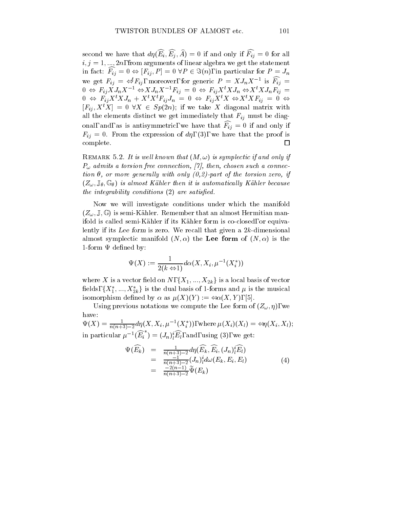second we have that  $d\eta(E_i, E_j, A) = 0$  if and only if  $F_{ij} = 0$  for all  $i, j = 1, ..., 2n$ , from arguments of linear algebra we get the statement in fact:  $F_{ij} = 0 \Leftrightarrow |F_{ij}, P| = 0 \forall P \in \Im(n)$ , in particular for  $P = J_n$ we get  $F_{ij} = \Leftrightarrow F_{ij}$ , moreover, for generic  $P = XJ_nX^{-1}$  is  $F_{ij} =$  $0 \Leftrightarrow F_{ij}\Lambda J_n\Lambda^{-1} \Leftrightarrow \Lambda J_n\Lambda^{-1}F_{ij} = 0 \Leftrightarrow F_{ij}\Lambda^{\dagger}\Lambda J_n \Leftrightarrow \Lambda^{\dagger}\Lambda J_nF_{ij} = 0$  $0 \Leftrightarrow F_{ij} \Lambda^* \Lambda J_n + \Lambda^* \Lambda^* F_{ij} J_n = 0 \Leftrightarrow F_{ij} \Lambda^* \Lambda \Leftrightarrow \Lambda^* \Lambda F_{ij} = 0 \Leftrightarrow$  $[F_{ij}, X^t X] = 0 \ \forall X \in Sp(2n);$  if we take X diagonal matrix with all the elements distinct we get immediately that  $F_{ij}$  must be diagonal, and, as is antisymmetric, we have that  $F_{ij} = 0$  if and only if  $F_{ij} = 0$ . From the expression of  $d\eta$ , (3), we have that the proof is complete. □

REMARK 5.2. It is well known that  $(M, \omega)$  is symplectic if and only if  $P_{\omega}$  admits a torsion free connection, [7], then, chosen such a connec $t$ , or more generating with only  $(t, z)$ -part of the torsion zero, if  $(Z_{\omega}, \mathbb{J}_{\theta}, \mathbb{G}_{\theta})$  is almost Kähler then it is automatically Kähler because the integrability conditions (2) are satised.

Now we will investigate conditions under which the manifold  $(Z_{\omega},\mathbb{J},\mathbb{G})$  is semi-Kähler. Remember that an almost Hermitian manifold is called semi-Kähler if its Kähler form is co-closed, or equivalently if its Lee form is zero. We recall that given a  $2k$ -dimensional almost symplectic manifold  $(N, \alpha)$  the Lee form of  $(N, \alpha)$  is the 1-form  $\Psi$  defined by:

$$
\Psi(X):=\frac{1}{2(k\mathbin{\Leftrightarrow} 1)}d\alpha(X,X_i,\mu^{-1}(X_i^*))
$$

where X is a vector field on N,  $\{X_1, ..., X_{2k}\}$  is a local basis of vector helds,  $\{A_1, ..., A_{2k}\}\$  is the dual basis of 1-forms and  $\mu$  is the musical isomorphism defined by  $\alpha$  as  $\mu(X)(Y) := \Leftrightarrow \alpha(X, Y),$  [5].

Using previous notations we compute the Lee form of  $(Z_\omega, \eta)$ , we have:

 $\Psi(X) = \frac{1}{n(n+3)-2} a\eta(X, X_i, \mu^{-1}(X_i))$ , where  $\mu(X_i)(X_i) = \Leftrightarrow \eta(X_i, X_i)$ ; in particular  $\mu^{-1}(E_i) = (J_n)_l^i E_l$ , and, using (3), we get:

$$
\Psi(\widehat{E_k}) = \frac{1}{n(n+3)-2} d\eta(\widehat{E_k}, \widehat{E_i}, (J_n)_l^i \widehat{E_l}) \n= \frac{-1}{n(n+3)-2} (J_n)_l^i d\omega(E_k, E_i, E_l) \n= \frac{-2(n-1)}{n(n+3)-2} \widetilde{\Psi}(E_k)
$$
\n(4)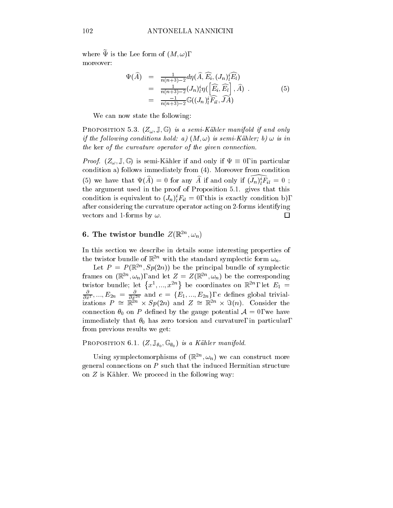where  $\widetilde{\Psi}$  is the Lee form of  $(M, \omega)$ , moreover:

$$
\Psi(\widehat{A}) = \frac{1}{n(n+3)-2} d\eta(\widehat{A}, \widehat{E_i}, (J_n)_l^i \widehat{E_l})
$$
\n
$$
= \frac{1}{n(n+3)-2} (J_n)_l^i \eta(\left[\widehat{E_i}, \widehat{E_l}\right], \widehat{A})
$$
\n
$$
= \frac{-1}{n(n+3)-2} \mathbb{G}((J_n)_l^i \widehat{F_{il}}, \widehat{J}\widehat{A})
$$
\n(5)

We can now state the following:

PROPOSITION 5.3.  $(Z_\omega, \mathbb{J}, \mathbb{G})$  is a semi-Kähler manifold if and only  $i$  and following conditions hold:  $u$ ) (IVI,  $\omega$ ) is semi-Kahler; b)  $\omega$  is in the ker of the curvature operator of the given connection.

 $P$ ro $f$ . (Z $\omega$  )  $\omega$  ) is semi-Kahler if and only if  $\omega$  is  $\omega$  on particular  $\omega$ condition a) follows immediately from (4). Moreover from condition (5) we have that  $\Psi(A) = 0$  for any A if and only if  $(J_n)_l^i F_{il} = 0$ ; the argument used in the proof of Proposition 5.1. gives that this condition is equivalent to  $(J_n)_l^T r_{il} = 0$ , this is exactly condition b), after considering the curvature operator acting on 2-forms identifying vectors and 1-forms by  $\omega$ .  $\Box$ 

### **b.** The twistor bundle  $Z(\mathbb{R}, \mathcal{Q}_n)$

In this section we describe in details some interesting properties of the twistor bundle of  $\mathbb{R}^{2n}$  with the standard symplectic form  $\omega_n$ .

Let  $P = P(\mathbb{R}^m, Sp(Zn))$  be the principal bundle of symplectic frames on  $(\mathbb{R}^n, \omega_n)$ , and let  $\omega = \omega(\mathbb{R}^n, \omega_n)$  be the corresponding twistor bundle; let  $\{x^1, ..., x^{2n}\}$  be coordinates on  $\mathbb{R}^{2n}$ , let  $E_1 =$  $\overline{\partial} \overline{x^1},...,\overline{E}2n} = \overline{\partial} \overline{x^{2n}}$  and  $e = \{E_1,...,E_{2n}\},\;e$  defines global trivializations  $P = \mathbb{R}^n \times Sp(2n)$  and  $Z = \mathbb{R}^n \times Sp(n)$ . Consider the connection  $\theta_0$  on P defined by the gauge potential  $\mathcal{A}=0$ , we have immediately that  $\theta_0$  has zero torsion and curvature, in particular, from previous results we get:

 $\mathcal{L}$  is a contract of  $\mathcal{L}$ ,  $\mathcal{L}$ ,  $\mathcal{L}$ ,  $\mathcal{L}$ ,  $\mathcal{L}$ ,  $\mathcal{L}$ ,  $\mathcal{L}$ ,  $\mathcal{L}$ ,  $\mathcal{L}$ ,  $\mathcal{L}$ ,  $\mathcal{L}$ ,  $\mathcal{L}$ ,  $\mathcal{L}$ ,  $\mathcal{L}$ ,  $\mathcal{L}$ ,  $\mathcal{L}$ ,  $\mathcal{L}$ ,  $\mathcal{L}$ ,  $\mathcal{L}$ ,  $\mathcal{$ 

Using symplectomorphisms of  $(\mathbb{R}^n, \omega_n)$  we can construct more general connections on P such that the induced Hermitian structure on  $Z$  is Kähler. We proceed in the following way: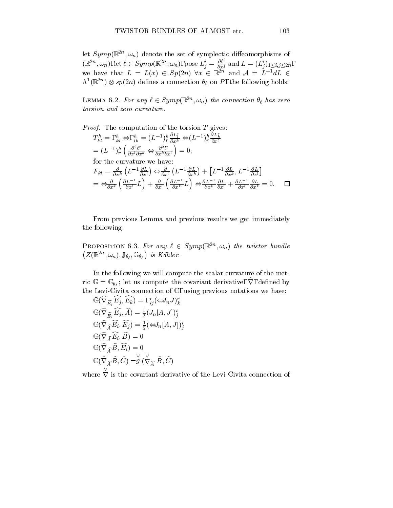let  $Symp(\mathbb{R}^{2n}, \omega_n)$  denote the set of symplectic diffeomorphisms of ; and set of symplectic dieomorphisms of symplectic dieomorphisms of symplectic dieomorphisms of symplectic distributions of  $\mathcal{A}$  $(\mathbb{R}^{2n}, \omega_n)$ , let  $\ell \in Symp(\mathbb{R}^{2n}, \omega_n)$ , pose  $L_j^i = \frac{\partial \mathcal{L}}{\partial x^j}$  and  $L = (L_j^i)_{1 \leq i,j \leq 2n}$ , we have that  $L = L(x) \in \mathcal{S}p(2n)$  views  $x \in \mathbb{R}^n$  and  $\mathcal{A} = L^{-1}aL$   $\in$  $\Lambda^-(\mathbb{R}^{n+1})\otimes sp(2n)$  defines a connection  $\sigma_\ell$  on P, the following holds:

**LEMMA 0.2. For any**  $\ell \in Symp(\mathbb{R}^{n}, \omega_n)$  **the connection**  $\sigma_\ell$  **has zero** 

Proof. The computation of the torsion T gives:  
\n
$$
T_{kl}^{h} = , {}_{kl}^{h} \Leftrightarrow , {}_{lk}^{h} = (L^{-1})_{r}^{h} \frac{\partial L_{l}^{r}}{\partial x^{k}} \Leftrightarrow (L^{-1})_{r}^{h} \frac{\partial L_{k}^{r}}{\partial x^{l}}
$$
\n
$$
= (L^{-1})_{r}^{h} \left( \frac{\partial^{2} \ell^{r}}{\partial x^{l} \partial x^{k}} \Leftrightarrow \frac{\partial^{2} l^{r}}{\partial x^{k} \partial x^{l}} \right) = 0;
$$
\nfor the curvature we have:  
\n
$$
F_{kl} = \frac{\partial}{\partial x^{k}} \left( L^{-1} \frac{\partial L}{\partial x^{l}} \right) \Leftrightarrow \frac{\partial}{\partial x^{l}} \left( L^{-1} \frac{\partial L}{\partial x^{k}} \right) + \left[ L^{-1} \frac{\partial L}{\partial x^{k}}, L^{-1} \frac{\partial L}{\partial x^{l}} \right]
$$
\n
$$
= \Leftrightarrow \frac{\partial}{\partial x^{k}} \left( \frac{\partial L^{-1}}{\partial x^{l}} L \right) + \frac{\partial}{\partial x^{l}} \left( \frac{\partial L^{-1}}{\partial x^{k}} L \right) \Leftrightarrow \frac{\partial L^{-1}}{\partial x^{k}} \frac{\partial L}{\partial x^{l}} + \frac{\partial L^{-1}}{\partial x^{l}} \frac{\partial L}{\partial x^{k}} = 0.
$$

From previous Lemma and previous results we get immediately the following:

**PROPOSITION 6.3. For any**  $\ell \in Symp(\mathbb{R}^m, \omega_n)$  **the twistor bundle**  $(Z(\mathbb{R}^{2n}, \omega_n), \mathbb{J}_{\theta_\ell}, \mathbb{G}_{\theta_\ell})$  is Kähler.

In the following we will compute the scalar curvature of the metric  $\mathbb{G} = \mathbb{G}_{\theta}$ ; let us compute the covariant derivative,  $\nabla$ , defined by ` the Levi-Civita connection of  $\mathbf{C}$  , using previous notations we have  $\mathbf{C}$ 

$$
\begin{aligned}\n\mathbb{G}(\nabla_{\widehat{E_i}} E_j, E_k) &= , \, _{ij}^r (\Leftrightarrow J_n J)_k^r \\
\mathbb{G}(\widehat{\nabla}_{\widehat{E_i}} \widehat{E_j}, \widehat{A}) &= \frac{1}{2} (J_n [A, J])_j^i \\
\mathbb{G}(\widehat{\nabla}_{\widehat{A}} \widehat{E_i}, \widehat{E_j}) &= \frac{1}{2} (\Leftrightarrow J_n [A, J])_j^i \\
\mathbb{G}(\widehat{\nabla}_{\widehat{A}} \widehat{E_i}, \widehat{B}) &= 0 \\
\mathbb{G}(\widehat{\nabla}_{\widehat{A}} \widehat{B}, \widehat{E_i}) &= 0 \\
\mathbb{G}(\widehat{\nabla}_{\widehat{A}} \widehat{B}, \widehat{C}) &= g \, (\widecheck{\nabla}_{\widehat{A}} \widehat{B}, \widehat{C})\n\end{aligned}
$$

 $\cdots$  where  $\cdots$ <sup>r</sup> is the covariant derivative of the Levi-Civita connection of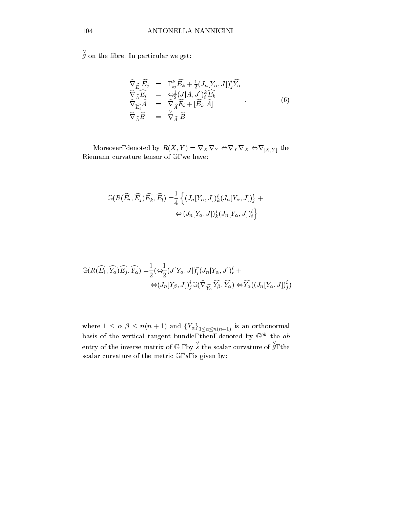g on the fibre. In particular we get:

$$
\widehat{\nabla}_{\widehat{E_i}} \widehat{E_j} = , \, {}_{ij}^k \widehat{E_k} + \frac{1}{2} (J_n[Y_\alpha, J])_j^i \widehat{Y_\alpha} \n\widehat{\nabla}_{\widehat{A}} \widehat{E_i} = \underset{\widehat{\nabla}_{\widehat{A}}}{\Leftrightarrow} (J[A, J])_i^k \widehat{E_k} \n\widehat{\nabla}_{\widehat{E_i}} \widehat{A} = \widehat{\nabla}_{\widehat{A}} \widehat{E_i} + [\widehat{E_i}, \widehat{A}] \n\widehat{\nabla}_{\widehat{A}} \widehat{B} = \bigvee_{\widehat{A}} \widehat{B}
$$
\n(6)

Moreover, denoted by  $\mathcal{A}$  is  $\mathcal{A}$  in the ratio ratio  $\mathcal{A}$  in the ratio ratio ratio ratio ratio ratio ratio ratio ratio ratio ratio ratio ratio ratio ratio ratio ratio ratio ratio ratio ratio ratio ratio ratio Riemann curvature tensor of <sup>G</sup> , we have:

$$
\mathbb{G}(R(\widehat{E_i}, \widehat{E_j})\widehat{E_k}, \widehat{E_l}) = \frac{1}{4} \left\{ (J_n[Y_\alpha, J])_k^i (J_n[Y_\alpha, J])_j^l + \right.\leftrightarrow (J_n[Y_\alpha, J])_k^j (J_n[Y_\alpha, J])_i^l \right\}
$$

$$
\begin{split} \mathbb{G}(R(\widehat{E_i},\widehat{Y_{\alpha}})\widehat{E_j},\widehat{Y_{\alpha}}) =& \frac{1}{2}(\Leftrightarrow \frac{1}{2}(J[Y_{\alpha},J])^r_j(J_n[Y_{\alpha},J])^i_r +\\ \Leftrightarrow (J_n[Y_{\beta},J])^i_j\mathbb{G}(\widehat{\nabla}_{\widehat{Y_{\alpha}}}\widehat{Y_{\beta}},\widehat{Y_{\alpha}}) \Leftrightarrow \widehat{Y_{\alpha}}((J_n[Y_{\alpha},J])^i_j) \end{split}
$$

where  $1 - 1$  is an order  $1 - 1$  and for  $\alpha \leq n(n+1)$  is an order for  $1 - 1$ basis of the vertical tangent bundle, then, denoted by  $\mathbb{G}_T^{\sim}$  the  $ab$ entry of the inverse matrix of  $\mathbb{G}$ , by s the scalar curvature of g, the  $g$ , the scalar curvature of the metric  $\mathbb{G}$ , s, is given by: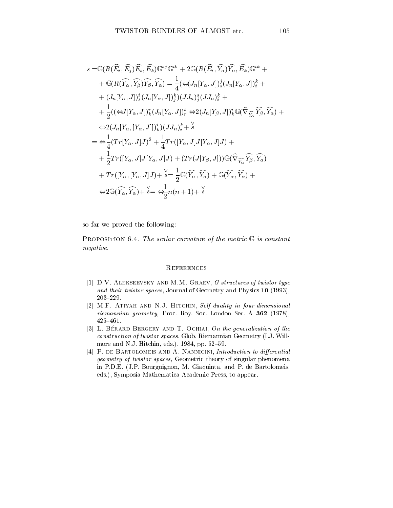$$
s = \mathbb{G}(R(\widehat{E_i}, \widehat{E_j})\widehat{E_s}, \widehat{E_k})\mathbb{G}^{sj}\mathbb{G}^{ik} + 2\mathbb{G}(R(\widehat{E_i}, \widehat{Y_{\alpha}})\widehat{Y_{\alpha}}, \widehat{E_k})\mathbb{G}^{ik} ++ \mathbb{G}(R(\widehat{Y_{\alpha}}, \widehat{Y_{\beta}})\widehat{Y_{\beta}}, \widehat{Y_{\alpha}}) = \frac{1}{4}(\Leftrightarrow J_n[Y_{\alpha}, J])_s^j(J_n[Y_{\alpha}, J])_s^k ++ (J_n[Y_{\alpha}, J])_s^i(J_n[Y_{\alpha}, J])_j^k(JJ_n)_j^k ++ \frac{1}{2}((\Leftrightarrow J[Y_{\alpha}, J])_k^r(J_n[Y_{\alpha}, J])_r^i \Leftrightarrow 2(J_n[Y_{\beta}, J])_k^i \mathbb{G}(\widehat{\nabla}_{\widehat{Y_{\alpha}}}\widehat{Y_{\beta}}, \widehat{Y_{\alpha}}) +\Leftrightarrow 2(J_n[Y_{\alpha}, [Y_{\alpha}, J]])_k^i)(JJ_n)_r^k += \Leftrightarrow \frac{1}{4}(Tr[Y_{\alpha}, J]J)^2 + \frac{1}{4}Tr([Y_{\alpha}, J]J[Y_{\alpha}, J]J) ++ \frac{1}{2}Tr([Y_{\alpha}, J]J[Y_{\alpha}, J]J) + (Tr(J[Y_{\beta}, J]))\mathbb{G}(\widehat{\nabla}_{\widehat{Y_{\alpha}}}\widehat{Y_{\beta}}, \widehat{Y_{\alpha}}) ++ Tr([Y_{\alpha}, [Y_{\alpha}, J]J) + s = \frac{1}{2}\mathbb{G}(\widehat{Y_{\alpha}}, \widehat{Y_{\alpha}}) + \mathbb{G}(\widehat{Y_{\alpha}}, \widehat{Y_{\alpha}}) +\Leftrightarrow 2\mathbb{G}(\widehat{Y_{\alpha}}, \widehat{Y_{\alpha}}) + s = \Leftrightarrow \frac{1}{2}n(n+1) + s
$$

so far we proved the following:

PROPOSITION 6.4. The scalar curvature of the metric  $\mathbb G$  is constant negative.

#### **REFERENCES**

- [1] D.V. ALEKSEEVSKY AND M.M. GRAEV, G-structures of twistor type and their twistor spaces, Journal of Geometry and Physics 10 (1993), 203-229.
- [2] M.F. Atiyah and N.J. Hitchin, Self duality in four-dimensional riemannian geometry, Proc. Roy. Soc. London Ser. A <sup>362</sup> (1978),  $425{-}461.$
- [3] L. BÉRARD BERGERY AND T. OCHIAI, On the generalization of the construction of twistor spaces, Glob. Riemannian Geometry (I.J. Willmore and N.J. Hitchin, eds.),  $1984$ , pp.  $52–59$ .
- [4] P. DE BARTOLOMEIS AND A. NANNICINI, Introduction to differential geometry of twistor spaces, Geometric theory of singular phenomena in P.D.E. (J.P. Bourguignon, M. Giaquinta, and P. de Bartolomeis, eds.), Symposia Mathematica Academic Press, to appear.